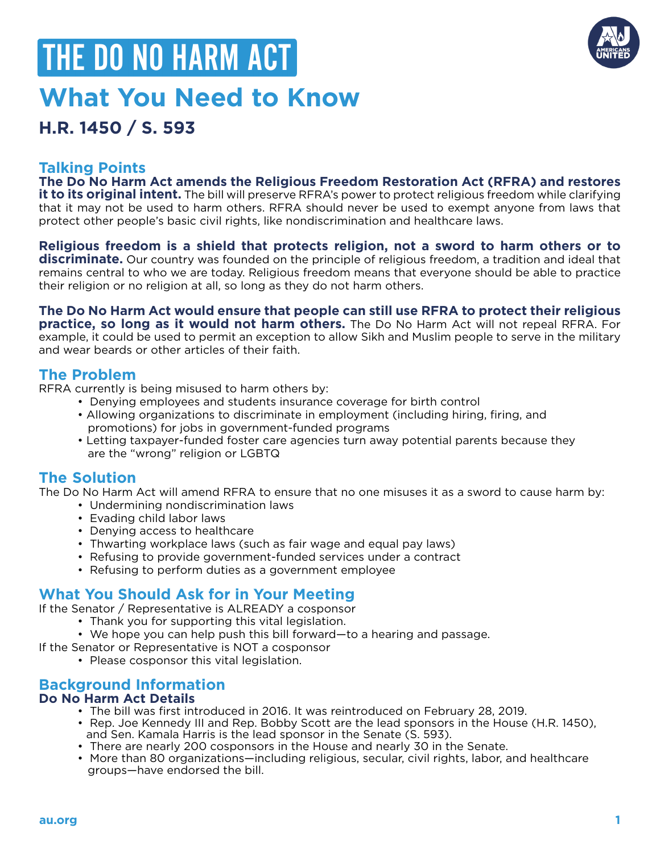# **What You Need to Know** THE DO NO HARM ACT



# **H.R. 1450 / S. 593**

## **Talking Points**

**The Do No Harm Act amends the Religious Freedom Restoration Act (RFRA) and restores it to its original intent.** The bill will preserve RFRA's power to protect religious freedom while clarifying that it may not be used to harm others. RFRA should never be used to exempt anyone from laws that protect other people's basic civil rights, like nondiscrimination and healthcare laws.

# **Religious freedom is a shield that protects religion, not a sword to harm others or to**

**discriminate.** Our country was founded on the principle of religious freedom, a tradition and ideal that remains central to who we are today. Religious freedom means that everyone should be able to practice their religion or no religion at all, so long as they do not harm others.

**The Do No Harm Act would ensure that people can still use RFRA to protect their religious practice, so long as it would not harm others.** The Do No Harm Act will not repeal RFRA. For example, it could be used to permit an exception to allow Sikh and Muslim people to serve in the military and wear beards or other articles of their faith.

### **The Problem**

RFRA currently is being misused to harm others by:

- Denying employees and students insurance coverage for birth control
- Allowing organizations to discriminate in employment (including hiring, firing, and promotions) for jobs in government-funded programs
- Letting taxpayer-funded foster care agencies turn away potential parents because they are the "wrong" religion or LGBTQ

# **The Solution**

The Do No Harm Act will amend RFRA to ensure that no one misuses it as a sword to cause harm by:

- Undermining nondiscrimination laws
- Evading child labor laws
- Denying access to healthcare
- Thwarting workplace laws (such as fair wage and equal pay laws)
- Refusing to provide government-funded services under a contract
- Refusing to perform duties as a government employee

# **What You Should Ask for in Your Meeting**

If the Senator / Representative is ALREADY a cosponsor

- Thank you for supporting this vital legislation.
- We hope you can help push this bill forward—to a hearing and passage.
- If the Senator or Representative is NOT a cosponsor
	- Please cosponsor this vital legislation.

## **Background Information**

#### **Do No Harm Act Details**

- The bill was first introduced in 2016. It was reintroduced on February 28, 2019.
- Rep. Joe Kennedy III and Rep. Bobby Scott are the lead sponsors in the House (H.R. 1450), and Sen. Kamala Harris is the lead sponsor in the Senate (S. 593).
- There are nearly 200 cosponsors in the House and nearly 30 in the Senate.
- More than 80 organizations—including religious, secular, civil rights, labor, and healthcare groups—have endorsed the bill.